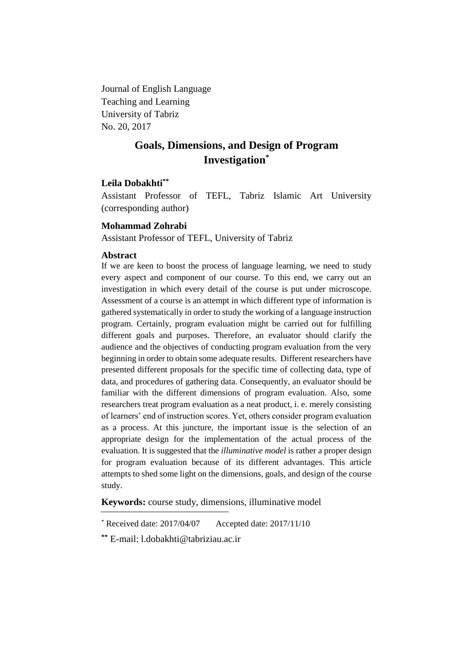Journal of English Language Teaching and Learning University of Tabriz No. 20, 2017

# **Goals, Dimensions, and Design of Program Investigation\***

# **Leila Dobakhti\*\***

Assistant Professor of TEFL, Tabriz Islamic Art University (corresponding author)

# **Mohammad Zohrabi**

Assistant Professor of TEFL, University of Tabriz

# **Abstract**

If we are keen to boost the process of language learning, we need to study every aspect and component of our course. To this end, we carry out an investigation in which every detail of the course is put under microscope. Assessment of a course is an attempt in which different type of information is gathered systematically in order to study the working of a language instruction program. Certainly, program evaluation might be carried out for fulfilling different goals and purposes. Therefore, an evaluator should clarify the audience and the objectives of conducting program evaluation from the very beginning in order to obtain some adequate results. Different researchers have presented different proposals for the specific time of collecting data, type of data, and procedures of gathering data. Consequently, an evaluator should be familiar with the different dimensions of program evaluation. Also, some researchers treat program evaluation as a neat product, i. e. merely consisting of learners' end of instruction scores. Yet, others consider program evaluation as a process. At this juncture, the important issue is the selection of an appropriate design for the implementation of the actual process of the evaluation. It is suggested that the *illuminative model* is rather a proper design for program evaluation because of its different advantages. This article attempts to shed some light on the dimensions, goals, and design of the course study.

**Keywords:** course study, dimensions, illuminative model

 $*$  Received date: 2017/04/07 Accepted date: 2017/11/10

**<sup>\*\*</sup>** E-mail: l.dobakhti@tabriziau.ac.ir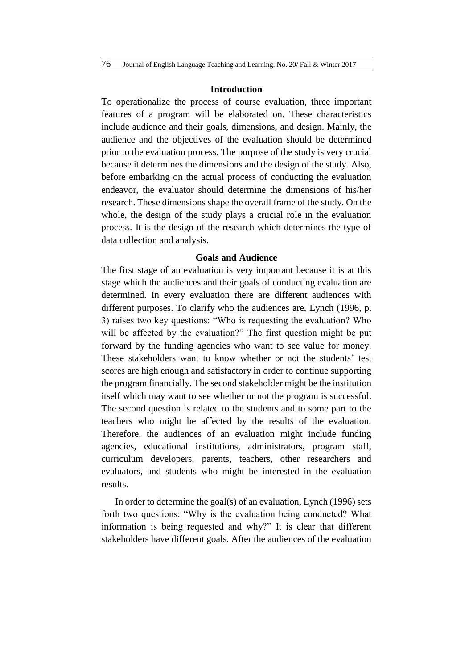#### **Introduction**

To operationalize the process of course evaluation, three important features of a program will be elaborated on. These characteristics include audience and their goals, dimensions, and design. Mainly, the audience and the objectives of the evaluation should be determined prior to the evaluation process. The purpose of the study is very crucial because it determines the dimensions and the design of the study. Also, before embarking on the actual process of conducting the evaluation endeavor, the evaluator should determine the dimensions of his/her research. These dimensions shape the overall frame of the study. On the whole, the design of the study plays a crucial role in the evaluation process. It is the design of the research which determines the type of data collection and analysis.

# **Goals and Audience**

The first stage of an evaluation is very important because it is at this stage which the audiences and their goals of conducting evaluation are determined. In every evaluation there are different audiences with different purposes. To clarify who the audiences are, Lynch (1996, p. 3) raises two key questions: "Who is requesting the evaluation? Who will be affected by the evaluation?" The first question might be put forward by the funding agencies who want to see value for money. These stakeholders want to know whether or not the students' test scores are high enough and satisfactory in order to continue supporting the program financially. The second stakeholder might be the institution itself which may want to see whether or not the program is successful. The second question is related to the students and to some part to the teachers who might be affected by the results of the evaluation. Therefore, the audiences of an evaluation might include funding agencies, educational institutions, administrators, program staff, curriculum developers, parents, teachers, other researchers and evaluators, and students who might be interested in the evaluation results.

In order to determine the goal(s) of an evaluation, Lynch (1996) sets forth two questions: "Why is the evaluation being conducted? What information is being requested and why?" It is clear that different stakeholders have different goals. After the audiences of the evaluation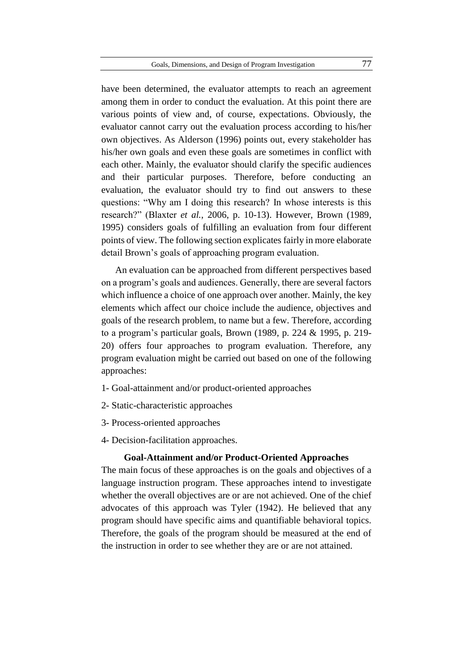have been determined, the evaluator attempts to reach an agreement among them in order to conduct the evaluation. At this point there are various points of view and, of course, expectations. Obviously, the evaluator cannot carry out the evaluation process according to his/her own objectives. As Alderson (1996) points out, every stakeholder has his/her own goals and even these goals are sometimes in conflict with each other. Mainly, the evaluator should clarify the specific audiences and their particular purposes. Therefore, before conducting an evaluation, the evaluator should try to find out answers to these questions: "Why am I doing this research? In whose interests is this research?" (Blaxter *et al.*, 2006, p. 10-13). However, Brown (1989, 1995) considers goals of fulfilling an evaluation from four different points of view. The following section explicates fairly in more elaborate detail Brown's goals of approaching program evaluation.

An evaluation can be approached from different perspectives based on a program's goals and audiences. Generally, there are several factors which influence a choice of one approach over another. Mainly, the key elements which affect our choice include the audience, objectives and goals of the research problem, to name but a few. Therefore, according to a program's particular goals, Brown (1989, p. 224 & 1995, p. 219- 20) offers four approaches to program evaluation. Therefore, any program evaluation might be carried out based on one of the following approaches:

- 1- Goal-attainment and/or product-oriented approaches
- 2- Static-characteristic approaches
- 3- Process-oriented approaches
- 4- Decision-facilitation approaches.

### **Goal-Attainment and/or Product-Oriented Approaches**

The main focus of these approaches is on the goals and objectives of a language instruction program. These approaches intend to investigate whether the overall objectives are or are not achieved. One of the chief advocates of this approach was Tyler (1942). He believed that any program should have specific aims and quantifiable behavioral topics. Therefore, the goals of the program should be measured at the end of the instruction in order to see whether they are or are not attained.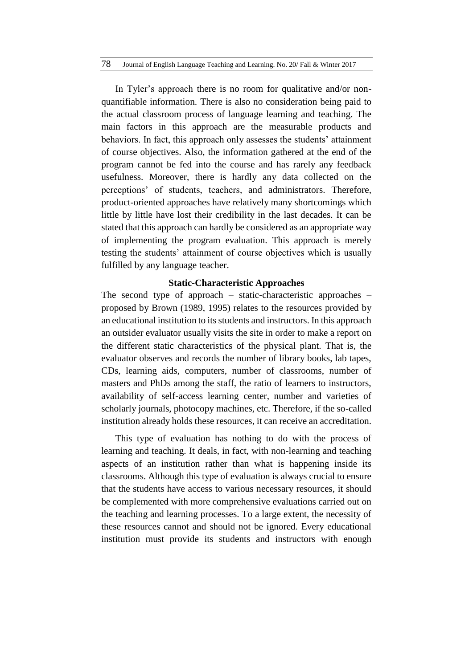In Tyler's approach there is no room for qualitative and/or nonquantifiable information. There is also no consideration being paid to the actual classroom process of language learning and teaching. The main factors in this approach are the measurable products and behaviors. In fact, this approach only assesses the students' attainment of course objectives. Also, the information gathered at the end of the program cannot be fed into the course and has rarely any feedback usefulness. Moreover, there is hardly any data collected on the perceptions' of students, teachers, and administrators. Therefore, product-oriented approaches have relatively many shortcomings which little by little have lost their credibility in the last decades. It can be stated that this approach can hardly be considered as an appropriate way of implementing the program evaluation. This approach is merely testing the students' attainment of course objectives which is usually fulfilled by any language teacher.

#### **Static-Characteristic Approaches**

The second type of approach – static-characteristic approaches – proposed by Brown (1989, 1995) relates to the resources provided by an educational institution to its students and instructors. In this approach an outsider evaluator usually visits the site in order to make a report on the different static characteristics of the physical plant. That is, the evaluator observes and records the number of library books, lab tapes, CDs, learning aids, computers, number of classrooms, number of masters and PhDs among the staff, the ratio of learners to instructors, availability of self-access learning center, number and varieties of scholarly journals, photocopy machines, etc. Therefore, if the so-called institution already holds these resources, it can receive an accreditation.

This type of evaluation has nothing to do with the process of learning and teaching. It deals, in fact, with non-learning and teaching aspects of an institution rather than what is happening inside its classrooms. Although this type of evaluation is always crucial to ensure that the students have access to various necessary resources, it should be complemented with more comprehensive evaluations carried out on the teaching and learning processes. To a large extent, the necessity of these resources cannot and should not be ignored. Every educational institution must provide its students and instructors with enough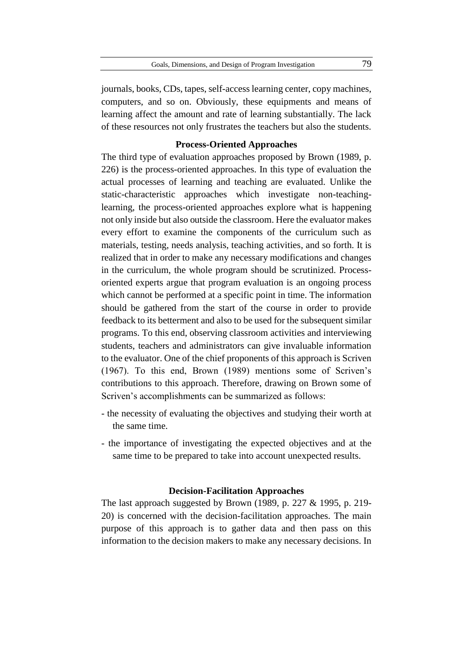journals, books, CDs, tapes, self-access learning center, copy machines, computers, and so on. Obviously, these equipments and means of learning affect the amount and rate of learning substantially. The lack of these resources not only frustrates the teachers but also the students.

## **Process-Oriented Approaches**

The third type of evaluation approaches proposed by Brown (1989, p. 226) is the process-oriented approaches. In this type of evaluation the actual processes of learning and teaching are evaluated. Unlike the static-characteristic approaches which investigate non-teachinglearning, the process-oriented approaches explore what is happening not only inside but also outside the classroom. Here the evaluator makes every effort to examine the components of the curriculum such as materials, testing, needs analysis, teaching activities, and so forth. It is realized that in order to make any necessary modifications and changes in the curriculum, the whole program should be scrutinized. Processoriented experts argue that program evaluation is an ongoing process which cannot be performed at a specific point in time. The information should be gathered from the start of the course in order to provide feedback to its betterment and also to be used for the subsequent similar programs. To this end, observing classroom activities and interviewing students, teachers and administrators can give invaluable information to the evaluator. One of the chief proponents of this approach is Scriven (1967). To this end, Brown (1989) mentions some of Scriven's contributions to this approach. Therefore, drawing on Brown some of Scriven's accomplishments can be summarized as follows:

- the necessity of evaluating the objectives and studying their worth at the same time.
- the importance of investigating the expected objectives and at the same time to be prepared to take into account unexpected results.

## **Decision-Facilitation Approaches**

The last approach suggested by Brown (1989, p. 227 & 1995, p. 219- 20) is concerned with the decision-facilitation approaches. The main purpose of this approach is to gather data and then pass on this information to the decision makers to make any necessary decisions. In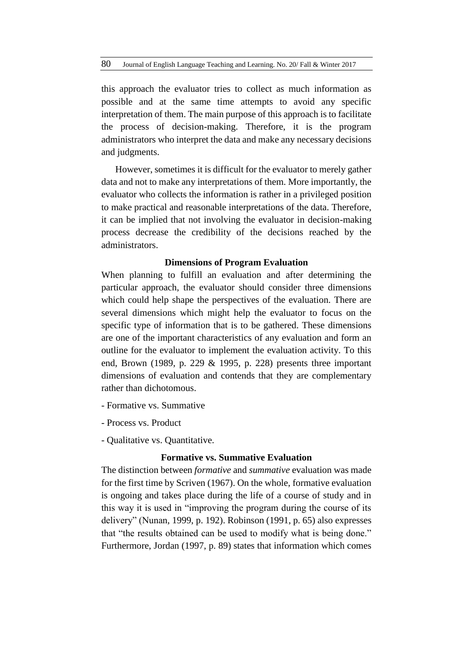this approach the evaluator tries to collect as much information as possible and at the same time attempts to avoid any specific interpretation of them. The main purpose of this approach is to facilitate the process of decision-making. Therefore, it is the program administrators who interpret the data and make any necessary decisions and judgments.

However, sometimes it is difficult for the evaluator to merely gather data and not to make any interpretations of them. More importantly, the evaluator who collects the information is rather in a privileged position to make practical and reasonable interpretations of the data. Therefore, it can be implied that not involving the evaluator in decision-making process decrease the credibility of the decisions reached by the administrators.

#### **Dimensions of Program Evaluation**

When planning to fulfill an evaluation and after determining the particular approach, the evaluator should consider three dimensions which could help shape the perspectives of the evaluation. There are several dimensions which might help the evaluator to focus on the specific type of information that is to be gathered. These dimensions are one of the important characteristics of any evaluation and form an outline for the evaluator to implement the evaluation activity. To this end, Brown (1989, p. 229 & 1995, p. 228) presents three important dimensions of evaluation and contends that they are complementary rather than dichotomous.

- Formative vs. Summative
- Process vs. Product
- Qualitative vs. Quantitative.

### **Formative vs. Summative Evaluation**

The distinction between *formative* and *summative* evaluation was made for the first time by Scriven (1967). On the whole, formative evaluation is ongoing and takes place during the life of a course of study and in this way it is used in "improving the program during the course of its delivery" (Nunan, 1999, p. 192). Robinson (1991, p. 65) also expresses that "the results obtained can be used to modify what is being done." Furthermore, Jordan (1997, p. 89) states that information which comes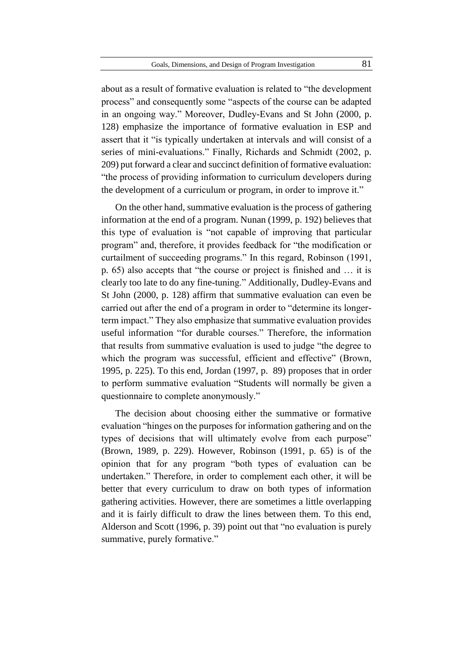about as a result of formative evaluation is related to "the development process" and consequently some "aspects of the course can be adapted in an ongoing way." Moreover, Dudley-Evans and St John (2000, p. 128) emphasize the importance of formative evaluation in ESP and assert that it "is typically undertaken at intervals and will consist of a series of mini-evaluations." Finally, Richards and Schmidt (2002, p. 209) put forward a clear and succinct definition of formative evaluation: "the process of providing information to curriculum developers during the development of a curriculum or program, in order to improve it."

On the other hand, summative evaluation is the process of gathering information at the end of a program. Nunan (1999, p. 192) believes that this type of evaluation is "not capable of improving that particular program" and, therefore, it provides feedback for "the modification or curtailment of succeeding programs." In this regard, Robinson (1991, p. 65) also accepts that "the course or project is finished and … it is clearly too late to do any fine-tuning." Additionally, Dudley-Evans and St John (2000, p. 128) affirm that summative evaluation can even be carried out after the end of a program in order to "determine its longerterm impact." They also emphasize that summative evaluation provides useful information "for durable courses." Therefore, the information that results from summative evaluation is used to judge "the degree to which the program was successful, efficient and effective" (Brown, 1995, p. 225). To this end, Jordan (1997, p. 89) proposes that in order to perform summative evaluation "Students will normally be given a questionnaire to complete anonymously."

The decision about choosing either the summative or formative evaluation "hinges on the purposes for information gathering and on the types of decisions that will ultimately evolve from each purpose" (Brown, 1989, p. 229). However, Robinson (1991, p. 65) is of the opinion that for any program "both types of evaluation can be undertaken." Therefore, in order to complement each other, it will be better that every curriculum to draw on both types of information gathering activities. However, there are sometimes a little overlapping and it is fairly difficult to draw the lines between them. To this end, Alderson and Scott (1996, p. 39) point out that "no evaluation is purely summative, purely formative."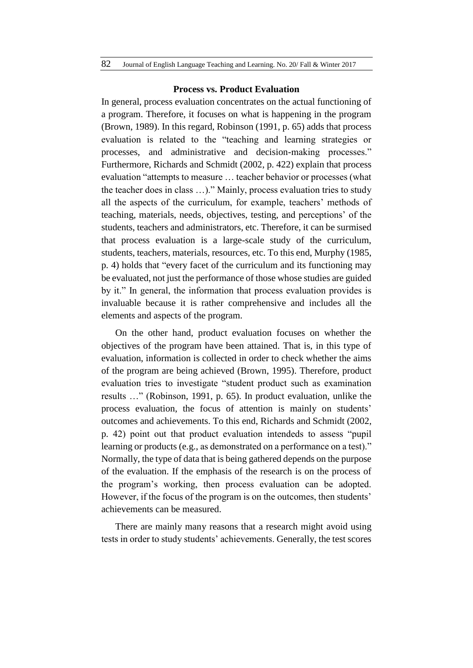#### **Process vs. Product Evaluation**

In general, process evaluation concentrates on the actual functioning of a program. Therefore, it focuses on what is happening in the program (Brown, 1989). In this regard, Robinson (1991, p. 65) adds that process evaluation is related to the "teaching and learning strategies or processes, and administrative and decision-making processes." Furthermore, Richards and Schmidt (2002, p. 422) explain that process evaluation "attempts to measure … teacher behavior or processes (what the teacher does in class …)." Mainly, process evaluation tries to study all the aspects of the curriculum, for example, teachers' methods of teaching, materials, needs, objectives, testing, and perceptions' of the students, teachers and administrators, etc. Therefore, it can be surmised that process evaluation is a large-scale study of the curriculum, students, teachers, materials, resources, etc. To this end, Murphy (1985, p. 4) holds that "every facet of the curriculum and its functioning may be evaluated, not just the performance of those whose studies are guided by it." In general, the information that process evaluation provides is invaluable because it is rather comprehensive and includes all the elements and aspects of the program.

On the other hand, product evaluation focuses on whether the objectives of the program have been attained. That is, in this type of evaluation, information is collected in order to check whether the aims of the program are being achieved (Brown, 1995). Therefore, product evaluation tries to investigate "student product such as examination results …" (Robinson, 1991, p. 65). In product evaluation, unlike the process evaluation, the focus of attention is mainly on students' outcomes and achievements. To this end, Richards and Schmidt (2002, p. 42) point out that product evaluation intendeds to assess "pupil learning or products (e.g., as demonstrated on a performance on a test)." Normally, the type of data that is being gathered depends on the purpose of the evaluation. If the emphasis of the research is on the process of the program's working, then process evaluation can be adopted. However, if the focus of the program is on the outcomes, then students' achievements can be measured.

There are mainly many reasons that a research might avoid using tests in order to study students' achievements. Generally, the test scores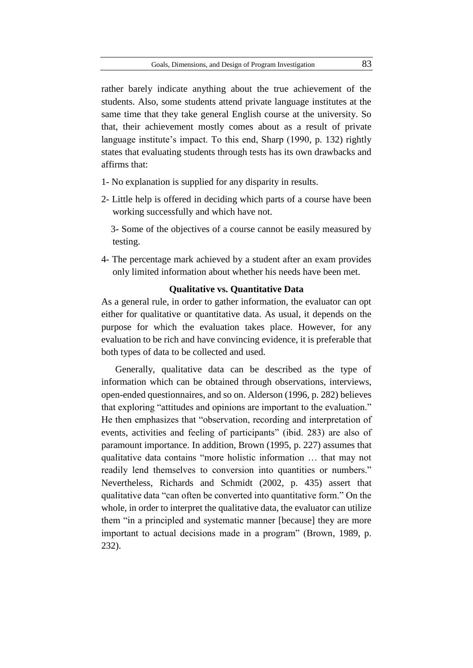rather barely indicate anything about the true achievement of the students. Also, some students attend private language institutes at the same time that they take general English course at the university. So that, their achievement mostly comes about as a result of private language institute's impact. To this end, Sharp (1990, p. 132) rightly states that evaluating students through tests has its own drawbacks and affirms that:

- 1- No explanation is supplied for any disparity in results.
- 2- Little help is offered in deciding which parts of a course have been working successfully and which have not.

 3- Some of the objectives of a course cannot be easily measured by testing.

4- The percentage mark achieved by a student after an exam provides only limited information about whether his needs have been met.

#### **Qualitative vs. Quantitative Data**

As a general rule, in order to gather information, the evaluator can opt either for qualitative or quantitative data. As usual, it depends on the purpose for which the evaluation takes place. However, for any evaluation to be rich and have convincing evidence, it is preferable that both types of data to be collected and used.

Generally, qualitative data can be described as the type of information which can be obtained through observations, interviews, open-ended questionnaires, and so on. Alderson (1996, p. 282) believes that exploring "attitudes and opinions are important to the evaluation." He then emphasizes that "observation, recording and interpretation of events, activities and feeling of participants" (ibid. 283) are also of paramount importance. In addition, Brown (1995, p. 227) assumes that qualitative data contains "more holistic information … that may not readily lend themselves to conversion into quantities or numbers." Nevertheless, Richards and Schmidt (2002, p. 435) assert that qualitative data "can often be converted into quantitative form." On the whole, in order to interpret the qualitative data, the evaluator can utilize them "in a principled and systematic manner [because] they are more important to actual decisions made in a program" (Brown, 1989, p. 232).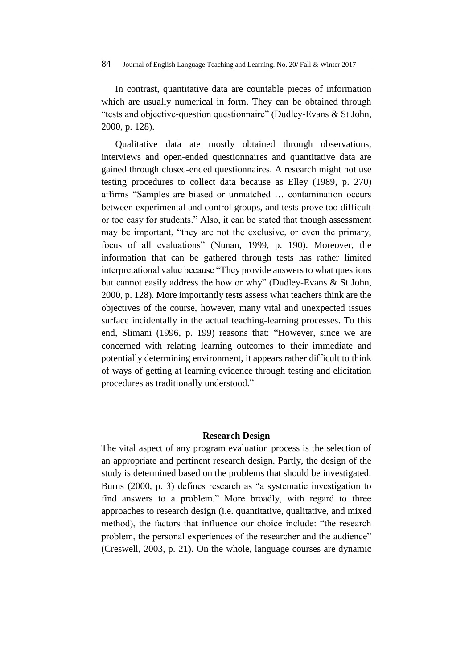84 Journal of English Language Teaching and Learning. No. 20/ Fall & Winter 2017

In contrast, quantitative data are countable pieces of information which are usually numerical in form. They can be obtained through "tests and objective-question questionnaire" (Dudley-Evans & St John, 2000, p. 128).

Qualitative data ate mostly obtained through observations, interviews and open-ended questionnaires and quantitative data are gained through closed-ended questionnaires. A research might not use testing procedures to collect data because as Elley (1989, p. 270) affirms "Samples are biased or unmatched … contamination occurs between experimental and control groups, and tests prove too difficult or too easy for students." Also, it can be stated that though assessment may be important, "they are not the exclusive, or even the primary, focus of all evaluations" (Nunan, 1999, p. 190). Moreover, the information that can be gathered through tests has rather limited interpretational value because "They provide answers to what questions but cannot easily address the how or why" (Dudley-Evans & St John, 2000, p. 128). More importantly tests assess what teachers think are the objectives of the course, however, many vital and unexpected issues surface incidentally in the actual teaching-learning processes. To this end, Slimani (1996, p. 199) reasons that: "However, since we are concerned with relating learning outcomes to their immediate and potentially determining environment, it appears rather difficult to think of ways of getting at learning evidence through testing and elicitation procedures as traditionally understood."

#### **Research Design**

The vital aspect of any program evaluation process is the selection of an appropriate and pertinent research design. Partly, the design of the study is determined based on the problems that should be investigated. Burns (2000, p. 3) defines research as "a systematic investigation to find answers to a problem." More broadly, with regard to three approaches to research design (i.e. quantitative, qualitative, and mixed method), the factors that influence our choice include: "the research problem, the personal experiences of the researcher and the audience" (Creswell, 2003, p. 21). On the whole, language courses are dynamic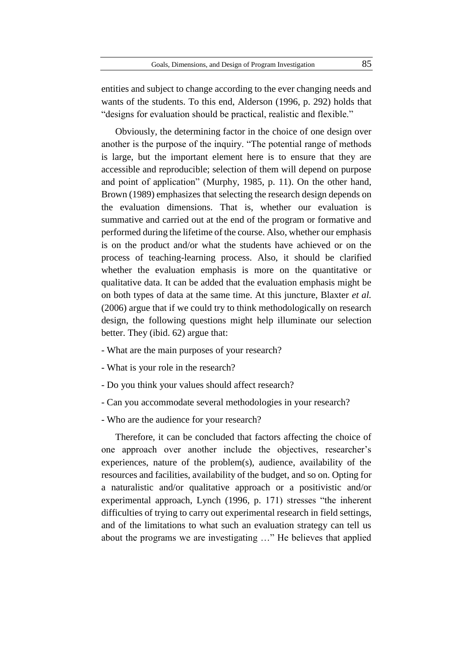entities and subject to change according to the ever changing needs and wants of the students. To this end, Alderson (1996, p. 292) holds that "designs for evaluation should be practical, realistic and flexible."

Obviously, the determining factor in the choice of one design over another is the purpose of the inquiry. "The potential range of methods is large, but the important element here is to ensure that they are accessible and reproducible; selection of them will depend on purpose and point of application" (Murphy, 1985, p. 11). On the other hand, Brown (1989) emphasizes that selecting the research design depends on the evaluation dimensions. That is, whether our evaluation is summative and carried out at the end of the program or formative and performed during the lifetime of the course. Also, whether our emphasis is on the product and/or what the students have achieved or on the process of teaching-learning process. Also, it should be clarified whether the evaluation emphasis is more on the quantitative or qualitative data. It can be added that the evaluation emphasis might be on both types of data at the same time. At this juncture, Blaxter *et al.* (2006) argue that if we could try to think methodologically on research design, the following questions might help illuminate our selection better. They (ibid. 62) argue that:

- What are the main purposes of your research?
- What is your role in the research?
- Do you think your values should affect research?
- Can you accommodate several methodologies in your research?
- Who are the audience for your research?

Therefore, it can be concluded that factors affecting the choice of one approach over another include the objectives, researcher's experiences, nature of the problem(s), audience, availability of the resources and facilities, availability of the budget, and so on. Opting for a naturalistic and/or qualitative approach or a positivistic and/or experimental approach, Lynch (1996, p. 171) stresses "the inherent difficulties of trying to carry out experimental research in field settings, and of the limitations to what such an evaluation strategy can tell us about the programs we are investigating …" He believes that applied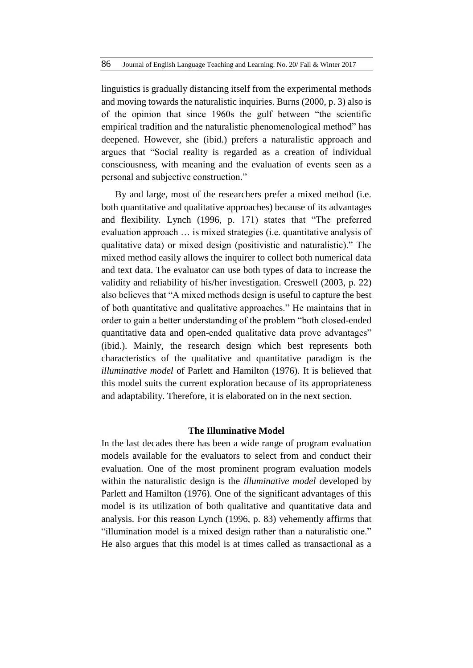linguistics is gradually distancing itself from the experimental methods and moving towards the naturalistic inquiries. Burns (2000, p. 3) also is of the opinion that since 1960s the gulf between "the scientific empirical tradition and the naturalistic phenomenological method" has deepened. However, she (ibid.) prefers a naturalistic approach and argues that "Social reality is regarded as a creation of individual consciousness, with meaning and the evaluation of events seen as a personal and subjective construction."

By and large, most of the researchers prefer a mixed method (i.e. both quantitative and qualitative approaches) because of its advantages and flexibility. Lynch (1996, p. 171) states that "The preferred evaluation approach … is mixed strategies (i.e. quantitative analysis of qualitative data) or mixed design (positivistic and naturalistic)." The mixed method easily allows the inquirer to collect both numerical data and text data. The evaluator can use both types of data to increase the validity and reliability of his/her investigation. Creswell (2003, p. 22) also believes that "A mixed methods design is useful to capture the best of both quantitative and qualitative approaches." He maintains that in order to gain a better understanding of the problem "both closed-ended quantitative data and open-ended qualitative data prove advantages" (ibid.). Mainly, the research design which best represents both characteristics of the qualitative and quantitative paradigm is the *illuminative model* of Parlett and Hamilton (1976). It is believed that this model suits the current exploration because of its appropriateness and adaptability. Therefore, it is elaborated on in the next section.

# **The Illuminative Model**

In the last decades there has been a wide range of program evaluation models available for the evaluators to select from and conduct their evaluation. One of the most prominent program evaluation models within the naturalistic design is the *illuminative model* developed by Parlett and Hamilton (1976). One of the significant advantages of this model is its utilization of both qualitative and quantitative data and analysis. For this reason Lynch (1996, p. 83) vehemently affirms that "illumination model is a mixed design rather than a naturalistic one." He also argues that this model is at times called as transactional as a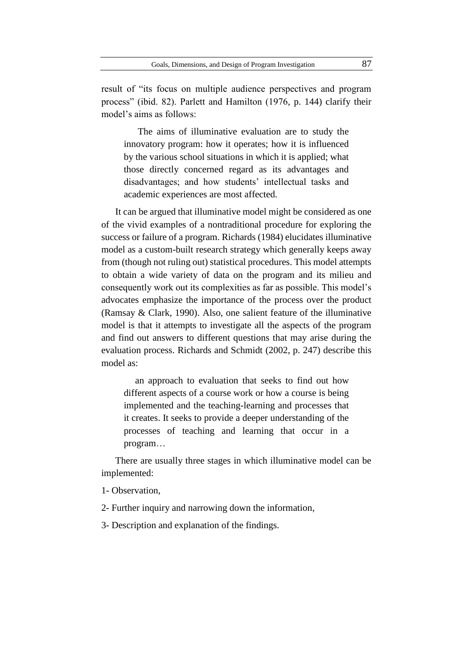result of "its focus on multiple audience perspectives and program process" (ibid. 82). Parlett and Hamilton (1976, p. 144) clarify their model's aims as follows:

The aims of illuminative evaluation are to study the innovatory program: how it operates; how it is influenced by the various school situations in which it is applied; what those directly concerned regard as its advantages and disadvantages; and how students' intellectual tasks and academic experiences are most affected.

It can be argued that illuminative model might be considered as one of the vivid examples of a nontraditional procedure for exploring the success or failure of a program. Richards (1984) elucidates illuminative model as a custom-built research strategy which generally keeps away from (though not ruling out) statistical procedures. This model attempts to obtain a wide variety of data on the program and its milieu and consequently work out its complexities as far as possible. This model's advocates emphasize the importance of the process over the product (Ramsay & Clark, 1990). Also, one salient feature of the illuminative model is that it attempts to investigate all the aspects of the program and find out answers to different questions that may arise during the evaluation process. Richards and Schmidt (2002, p. 247) describe this model as:

an approach to evaluation that seeks to find out how different aspects of a course work or how a course is being implemented and the teaching-learning and processes that it creates. It seeks to provide a deeper understanding of the processes of teaching and learning that occur in a program…

There are usually three stages in which illuminative model can be implemented:

1- Observation,

2- Further inquiry and narrowing down the information,

3- Description and explanation of the findings.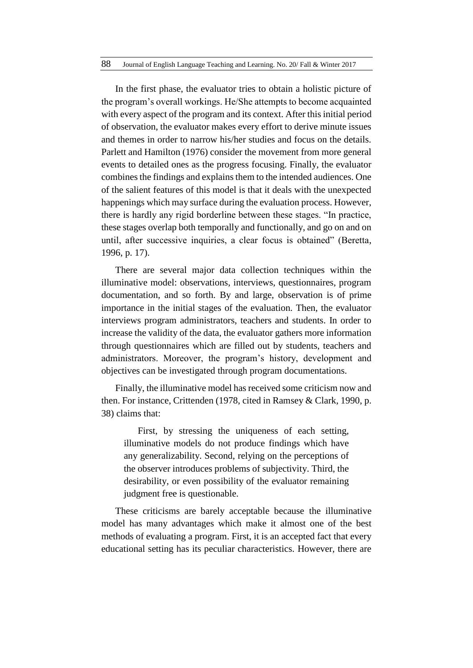In the first phase, the evaluator tries to obtain a holistic picture of the program's overall workings. He/She attempts to become acquainted with every aspect of the program and its context. After this initial period of observation, the evaluator makes every effort to derive minute issues and themes in order to narrow his/her studies and focus on the details. Parlett and Hamilton (1976) consider the movement from more general events to detailed ones as the progress focusing. Finally, the evaluator combines the findings and explains them to the intended audiences. One of the salient features of this model is that it deals with the unexpected happenings which may surface during the evaluation process. However, there is hardly any rigid borderline between these stages. "In practice, these stages overlap both temporally and functionally, and go on and on until, after successive inquiries, a clear focus is obtained" (Beretta, 1996, p. 17).

There are several major data collection techniques within the illuminative model: observations, interviews, questionnaires, program documentation, and so forth. By and large, observation is of prime importance in the initial stages of the evaluation. Then, the evaluator interviews program administrators, teachers and students. In order to increase the validity of the data, the evaluator gathers more information through questionnaires which are filled out by students, teachers and administrators. Moreover, the program's history, development and objectives can be investigated through program documentations.

Finally, the illuminative model has received some criticism now and then. For instance, Crittenden (1978, cited in Ramsey & Clark, 1990, p. 38) claims that:

First, by stressing the uniqueness of each setting, illuminative models do not produce findings which have any generalizability. Second, relying on the perceptions of the observer introduces problems of subjectivity. Third, the desirability, or even possibility of the evaluator remaining judgment free is questionable.

These criticisms are barely acceptable because the illuminative model has many advantages which make it almost one of the best methods of evaluating a program. First, it is an accepted fact that every educational setting has its peculiar characteristics. However, there are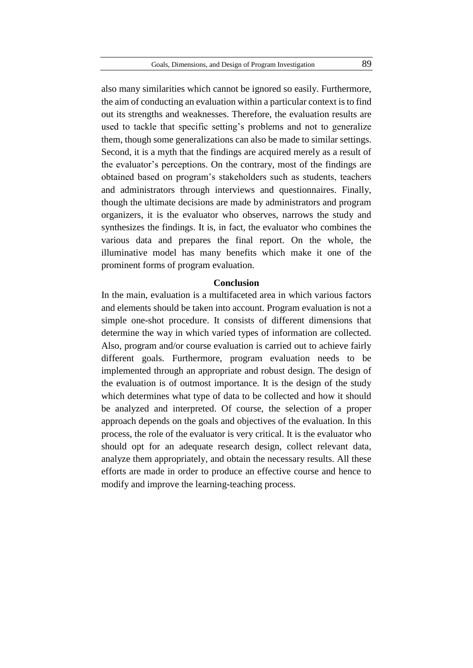also many similarities which cannot be ignored so easily. Furthermore, the aim of conducting an evaluation within a particular context is to find out its strengths and weaknesses. Therefore, the evaluation results are used to tackle that specific setting's problems and not to generalize them, though some generalizations can also be made to similar settings. Second, it is a myth that the findings are acquired merely as a result of the evaluator's perceptions. On the contrary, most of the findings are obtained based on program's stakeholders such as students, teachers and administrators through interviews and questionnaires. Finally, though the ultimate decisions are made by administrators and program organizers, it is the evaluator who observes, narrows the study and synthesizes the findings. It is, in fact, the evaluator who combines the various data and prepares the final report. On the whole, the illuminative model has many benefits which make it one of the prominent forms of program evaluation.

#### **Conclusion**

In the main, evaluation is a multifaceted area in which various factors and elements should be taken into account. Program evaluation is not a simple one-shot procedure. It consists of different dimensions that determine the way in which varied types of information are collected. Also, program and/or course evaluation is carried out to achieve fairly different goals. Furthermore, program evaluation needs to be implemented through an appropriate and robust design. The design of the evaluation is of outmost importance. It is the design of the study which determines what type of data to be collected and how it should be analyzed and interpreted. Of course, the selection of a proper approach depends on the goals and objectives of the evaluation. In this process, the role of the evaluator is very critical. It is the evaluator who should opt for an adequate research design, collect relevant data, analyze them appropriately, and obtain the necessary results. All these efforts are made in order to produce an effective course and hence to modify and improve the learning-teaching process.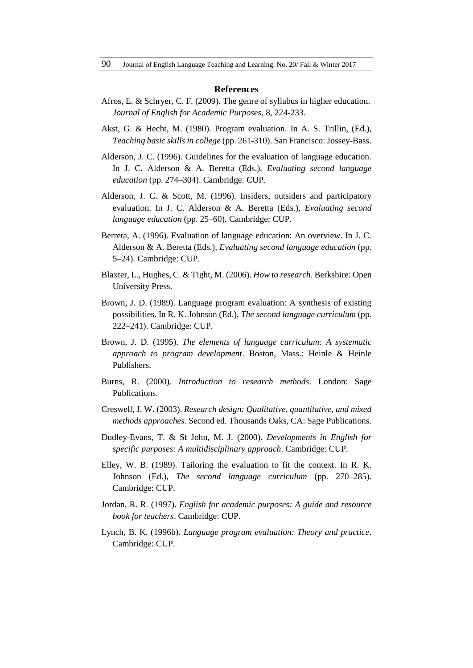#### **References**

- Afros, E. & Schryer, C. F. (2009). The genre of syllabus in higher education. *Journal of English for Academic Purposes*, 8, 224-233.
- Akst, G. & Hecht, M. (1980). Program evaluation. In A. S. Trillin, (Ed.), *Teaching basic skills in college* (pp. 261-310). San Francisco: Jossey-Bass.
- Alderson, J. C. (1996). Guidelines for the evaluation of language education. In J. C. Alderson & A. Beretta (Eds.), *Evaluating second language education* (pp. 274–304). Cambridge: CUP.
- Alderson, J. C. & Scott, M. (1996). Insiders, outsiders and participatory evaluation. In J. C. Alderson & A. Beretta (Eds.), *Evaluating second language education* (pp. 25–60). Cambridge: CUP.
- Berreta, A. (1996). Evaluation of language education: An overview. In J. C. Alderson & A. Beretta (Eds.), *Evaluating second language education* (pp. 5–24). Cambridge: CUP.
- Blaxter, L., Hughes, C. & Tight, M. (2006). *How to research*. Berkshire: Open University Press.
- Brown, J. D. (1989). Language program evaluation: A synthesis of existing possibilities. In R. K. Johnson (Ed.), *The second language curriculum* (pp. 222–241). Cambridge: CUP.
- Brown, J. D. (1995). *The elements of language curriculum: A systematic approach to program development*. Boston, Mass.: Heinle & Heinle Publishers.
- Burns, R. (2000). *Introduction to research methods*. London: Sage Publications.
- Creswell, J. W. (2003). *Research design: Qualitative, quantitative, and mixed methods approaches*. Second ed. Thousands Oaks, CA: Sage Publications.
- Dudley-Evans, T. & St John, M. J. (2000). *Developments in English for specific purposes: A multidisciplinary approach*. Cambridge: CUP.
- Elley, W. B. (1989). Tailoring the evaluation to fit the context. In R. K. Johnson (Ed.), *The second language curriculum* (pp. 270–285). Cambridge: CUP.
- Jordan, R. R. (1997). *English for academic purposes: A guide and resource book for teachers*. Cambridge: CUP.
- Lynch, B. K. (1996b). *Language program evaluation: Theory and practice*. Cambridge: CUP.